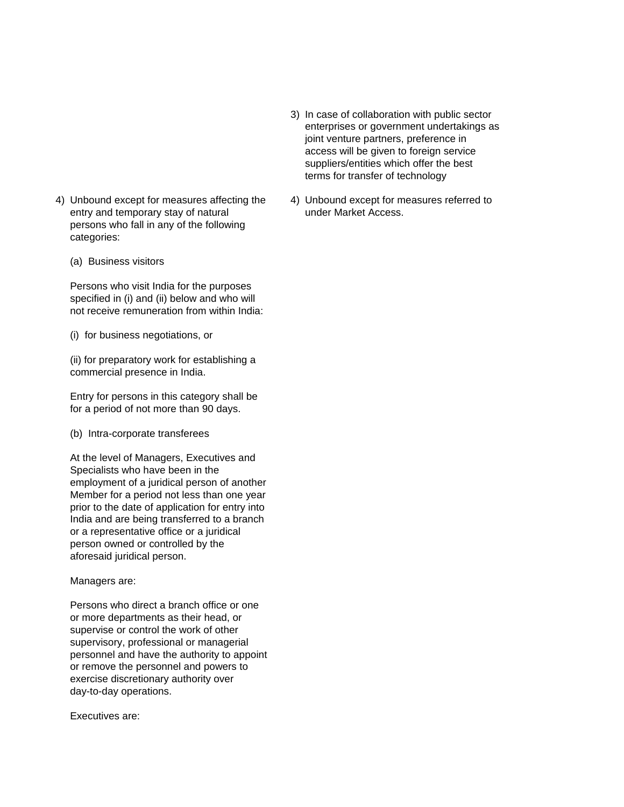- 4) Unbound except for measures affecting the 4) Unbound except for measures referred to entry and temporary stay of natural under Market Access. persons who fall in any of the following categories:
	- (a) Business visitors

Persons who visit India for the purposes specified in (i) and (ii) below and who will not receive remuneration from within India:

(i) for business negotiations, or

(ii) for preparatory work for establishing a commercial presence in India.

Entry for persons in this category shall be for a period of not more than 90 days.

(b) Intra-corporate transferees

At the level of Managers, Executives and Specialists who have been in the employment of a juridical person of another Member for a period not less than one year prior to the date of application for entry into India and are being transferred to a branch or a representative office or a juridical person owned or controlled by the aforesaid juridical person.

## Managers are:

Persons who direct a branch office or one or more departments as their head, or supervise or control the work of other supervisory, professional or managerial personnel and have the authority to appoint or remove the personnel and powers to exercise discretionary authority over day-to-day operations.

Executives are:

- 3) In case of collaboration with public sector enterprises or government undertakings as joint venture partners, preference in access will be given to foreign service suppliers/entities which offer the best terms for transfer of technology
-